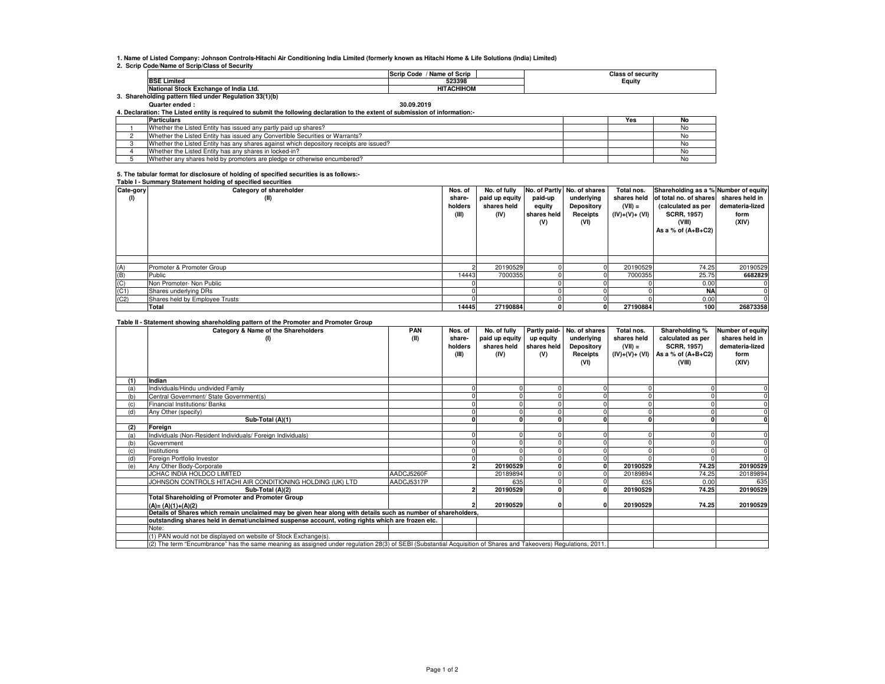**1. Name of Listed Company: Johnson Controls-Hitachi Air Conditioning India Limited (formerly known as Hitachi Home & Life Solutions (India) Limited)**

**2. Scrip Code/Name of Scrip/Class of Security**

|                                                      |                                       | / Name of Scrip<br><b>Scrip Code</b> | Class of securitv |  |  |  |  |  |  |  |
|------------------------------------------------------|---------------------------------------|--------------------------------------|-------------------|--|--|--|--|--|--|--|
|                                                      | <b>BSE Limited</b>                    | 523398                               | Equity            |  |  |  |  |  |  |  |
|                                                      | National Stock Exchange of India Ltd. | <b>HITACHIHOM</b>                    |                   |  |  |  |  |  |  |  |
| Shareholding pattern filed under Regulation 33(1)(b) |                                       |                                      |                   |  |  |  |  |  |  |  |

## **Quarter ended : 30.09.2019**

**4. Declaration: The Listed entity is required to submit the following declaration to the extent of submission of information:-**

| <b>Particulars</b>                                                                     | Yes | No |
|----------------------------------------------------------------------------------------|-----|----|
| Whether the Listed Entity has issued any partly paid up shares?                        |     |    |
| Whether the Listed Entity has issued any Convertible Securities or Warrants?           |     |    |
| Whether the Listed Entity has any shares against which depository receipts are issued? |     |    |
| Whether the Listed Entity has any shares in locked-in?                                 |     |    |
| Whether any shares held by promoters are pledge or otherwise encumbered?               |     |    |

## **5. The tabular format for disclosure of holding of specified securities is as follows:- Table I - Summary Statement holding of specified securities**

| Cate-gory<br>(1) | <b>Replace Literaturing Manufacturers</b> including or specified securities<br>Category of shareholder<br>(II) | Nos. of<br>share-<br>holders<br>(III) | No. of fully<br>paid up equity<br>shares held<br>(IV) | paid-up<br>equity<br>shares held | No. of Partly No. of shares<br>underlying<br>Depository<br>Receipts | Total nos.<br>shares held<br>$(VII) =$<br>(IV)+(V)+ (VI) | Shareholding as a % Number of equity<br>of total no. of shares<br>(calculated as per<br><b>SCRR, 1957)</b> | shares held in<br>demateria-lized<br>form |
|------------------|----------------------------------------------------------------------------------------------------------------|---------------------------------------|-------------------------------------------------------|----------------------------------|---------------------------------------------------------------------|----------------------------------------------------------|------------------------------------------------------------------------------------------------------------|-------------------------------------------|
|                  |                                                                                                                |                                       |                                                       | (V)                              | (VI)                                                                |                                                          | (VIII)<br>As a % of $(A+B+C2)$                                                                             | (XIV)                                     |
|                  |                                                                                                                |                                       |                                                       |                                  |                                                                     |                                                          |                                                                                                            |                                           |
| (A)              | Promoter & Promoter Group                                                                                      |                                       | 20190529                                              |                                  |                                                                     | 20190529                                                 | 74.25                                                                                                      | 20190529                                  |
| (B)              | Public                                                                                                         | 14443                                 | 7000355                                               |                                  |                                                                     | 7000355                                                  | 25.75                                                                                                      | 6682829                                   |
| (C)              | Non Promoter- Non Public                                                                                       |                                       |                                                       |                                  |                                                                     |                                                          | 0.00                                                                                                       |                                           |
| (C1)             | Shares underlying DRs                                                                                          |                                       |                                                       |                                  |                                                                     |                                                          | <b>NA</b>                                                                                                  |                                           |
| (C2)             | Shares held by Employee Trusts                                                                                 |                                       |                                                       |                                  |                                                                     |                                                          | 0.00                                                                                                       |                                           |
|                  | Total                                                                                                          | 14445                                 | 27190884                                              |                                  |                                                                     | 27190884                                                 | 100                                                                                                        | 26873358                                  |

## **Table II - Statement showing shareholding pattern of the Promoter and Promoter Group**

|     | rasic in clutchicit showing shareholding pattern or the Fromoter and Fromoter croup<br>Category & Name of the Shareholders<br>(1)                               | <b>PAN</b><br>(II) | Nos. of<br>share-<br>holders<br>(III) | No. of fully<br>paid up equity<br>shares held<br>(IV) | up equity<br>shares held<br>(V) | Partly paid- No. of shares<br>underlying<br>Depository<br>Receipts<br>(VI) | Total nos.<br>shares held<br>$(VII) =$<br>(IV)+(V)+ (VI) | Shareholding %<br>calculated as per<br><b>SCRR, 1957)</b><br>As a % of $(A+B+C2)$<br>(VIII) | Number of equity<br>shares held in<br>demateria-lized<br>form<br>(XIV) |
|-----|-----------------------------------------------------------------------------------------------------------------------------------------------------------------|--------------------|---------------------------------------|-------------------------------------------------------|---------------------------------|----------------------------------------------------------------------------|----------------------------------------------------------|---------------------------------------------------------------------------------------------|------------------------------------------------------------------------|
| (1) | Indian                                                                                                                                                          |                    |                                       |                                                       |                                 |                                                                            |                                                          |                                                                                             |                                                                        |
| (a) | Individuals/Hindu undivided Family                                                                                                                              |                    |                                       |                                                       |                                 |                                                                            |                                                          |                                                                                             |                                                                        |
| (b) | Central Government/ State Government(s)                                                                                                                         |                    |                                       |                                                       |                                 |                                                                            |                                                          |                                                                                             |                                                                        |
|     | Financial Institutions/ Banks                                                                                                                                   |                    |                                       |                                                       |                                 |                                                                            |                                                          |                                                                                             |                                                                        |
| (d) | Any Other (specify)                                                                                                                                             |                    |                                       |                                                       |                                 |                                                                            |                                                          |                                                                                             |                                                                        |
|     | Sub-Total (A)(1)                                                                                                                                                |                    |                                       |                                                       |                                 |                                                                            |                                                          |                                                                                             |                                                                        |
| (2) | Foreign                                                                                                                                                         |                    |                                       |                                                       |                                 |                                                                            |                                                          |                                                                                             |                                                                        |
| (a) | Individuals (Non-Resident Individuals/ Foreign Individuals)                                                                                                     |                    |                                       |                                                       |                                 |                                                                            |                                                          |                                                                                             |                                                                        |
| (b) | Government                                                                                                                                                      |                    |                                       |                                                       |                                 |                                                                            |                                                          |                                                                                             |                                                                        |
|     | Institutions                                                                                                                                                    |                    |                                       |                                                       |                                 |                                                                            |                                                          |                                                                                             |                                                                        |
| (d) | Foreign Portfolio Investor                                                                                                                                      |                    |                                       |                                                       |                                 |                                                                            |                                                          |                                                                                             |                                                                        |
| (e) | Any Other Body-Corporate                                                                                                                                        |                    |                                       | 20190529                                              |                                 |                                                                            | 20190529                                                 | 74.25                                                                                       | 20190529                                                               |
|     | JCHAC INDIA HOLDCO LIMITED                                                                                                                                      | AADCJ5260F         |                                       | 20189894                                              |                                 |                                                                            | 20189894                                                 | 74.25                                                                                       | 20189894                                                               |
|     | JOHNSON CONTROLS HITACHI AIR CONDITIONING HOLDING (UK) LTD                                                                                                      | AADCJ5317P         |                                       | 635                                                   |                                 |                                                                            | 635                                                      | 0.00                                                                                        | 635                                                                    |
|     | Sub-Total (A)(2)                                                                                                                                                |                    |                                       | 20190529                                              |                                 |                                                                            | 20190529                                                 | 74.25                                                                                       | 20190529                                                               |
|     | <b>Total Shareholding of Promoter and Promoter Group</b>                                                                                                        |                    |                                       |                                                       |                                 |                                                                            |                                                          |                                                                                             |                                                                        |
|     | $(A) = (A)(1)+(A)(2)$                                                                                                                                           |                    |                                       | 20190529                                              |                                 |                                                                            | 20190529                                                 | 74.25                                                                                       | 20190529                                                               |
|     | Details of Shares which remain unclaimed may be given hear along with details such as number of shareholders,                                                   |                    |                                       |                                                       |                                 |                                                                            |                                                          |                                                                                             |                                                                        |
|     | outstanding shares held in demat/unclaimed suspense account, voting rights which are frozen etc.                                                                |                    |                                       |                                                       |                                 |                                                                            |                                                          |                                                                                             |                                                                        |
|     | Note:                                                                                                                                                           |                    |                                       |                                                       |                                 |                                                                            |                                                          |                                                                                             |                                                                        |
|     | (1) PAN would not be displayed on website of Stock Exchange(s).                                                                                                 |                    |                                       |                                                       |                                 |                                                                            |                                                          |                                                                                             |                                                                        |
|     | (2) The term "Encumbrance" has the same meaning as assigned under regulation 28(3) of SEBI (Substantial Acquisition of Shares and Takeovers) Regulations, 2011. |                    |                                       |                                                       |                                 |                                                                            |                                                          |                                                                                             |                                                                        |